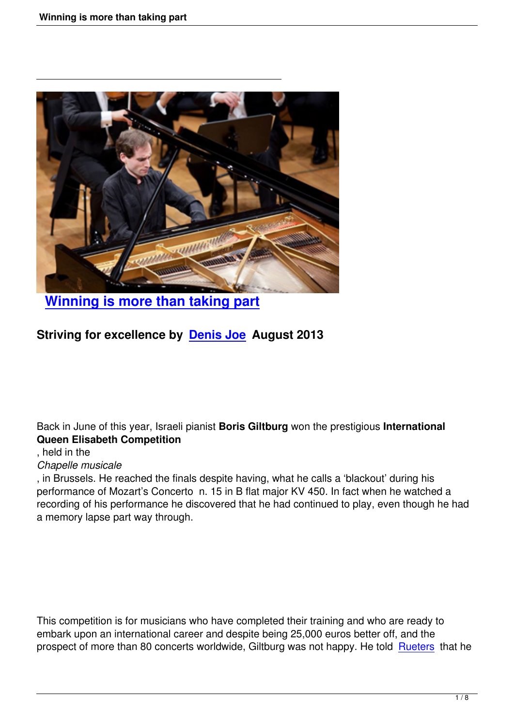

# **Winning is more than taking part**

### **S[triving for excellence by Denis Joe A](its-the-winning-that-counts.html)ugust 2013**

Back in June of this year, Israeli pianist **Boris Giltburg** won the prestigious **International Queen Elisabeth Competition**

#### , held in the

#### *Chapelle musicale*

, in Brussels. He reached the finals despite having, what he calls a 'blackout' during his performance of Mozart's Concerto n. 15 in B flat major KV 450. In fact when he watched a recording of his performance he discovered that he had continued to play, even though he had a memory lapse part way through.

This competition is for musicians who have completed their training and who are ready to embark upon an international career and despite being 25,000 euros better off, and the prospect of more than 80 concerts worldwide, Giltburg was not happy. He told Rueters that he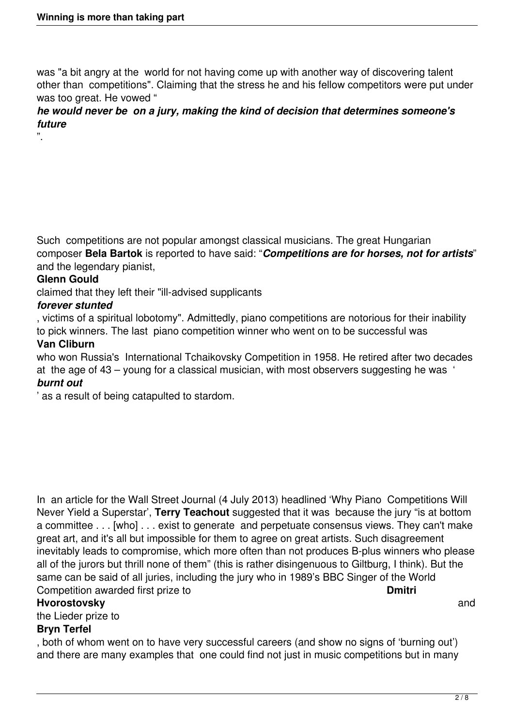was "a bit angry at the world for not having come up with another way of discovering talent other than competitions". Claiming that the stress he and his fellow competitors were put under was too great. He vowed "

#### *he would never be on a jury, making the kind of decision that determines someone's future*

Such competitions are not popular amongst classical musicians. The great Hungarian composer **Bela Bartok** is reported to have said: "*Competitions are for horses, not for artists*" and the legendary pianist,

#### **Glenn Gould**

".

claimed that they left their "ill-advised supplicants

#### *forever stunted*

, victims of a spiritual lobotomy". Admittedly, piano competitions are notorious for their inability to pick winners. The last piano competition winner who went on to be successful was **Van Cliburn**

who won Russia's International Tchaikovsky Competition in 1958. He retired after two decades at the age of 43 – young for a classical musician, with most observers suggesting he was ' *burnt out*

' as a result of being catapulted to stardom.

In an article for the Wall Street Journal (4 July 2013) headlined 'Why Piano Competitions Will Never Yield a Superstar', **Terry Teachout** suggested that it was because the jury "is at bottom a committee . . . [who] . . . exist to generate and perpetuate consensus views. They can't make great art, and it's all but impossible for them to agree on great artists. Such disagreement inevitably leads to compromise, which more often than not produces B-plus winners who please all of the jurors but thrill none of them" (this is rather disingenuous to Giltburg, I think). But the same can be said of all juries, including the jury who in 1989's BBC Singer of the World Competition awarded first prize to **Dmitri**

#### **Hvorostovsky** and **Hyperical Contract and Contract Contract Contract Contract Contract Contract Contract Contract Contract Contract Contract Contract Contract Contract Contract Contract Contract Contract Contract Contract**

the Lieder prize to

#### **Bryn Terfel**

, both of whom went on to have very successful careers (and show no signs of 'burning out') and there are many examples that one could find not just in music competitions but in many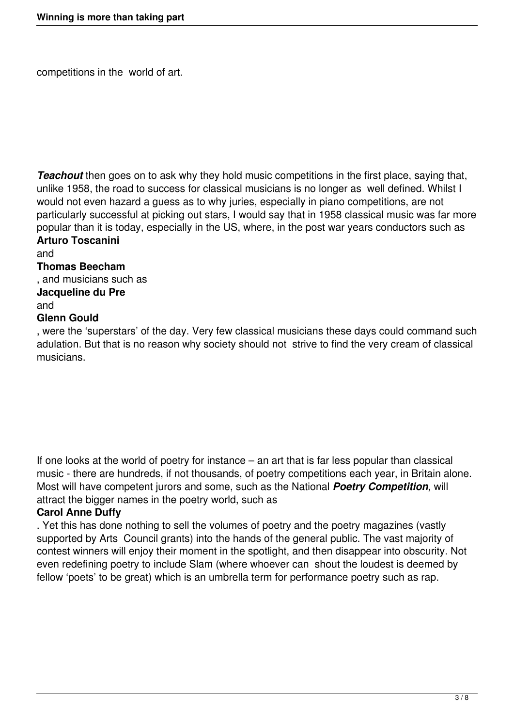competitions in the world of art.

*Teachout* then goes on to ask why they hold music competitions in the first place, saying that, unlike 1958, the road to success for classical musicians is no longer as well defined. Whilst I would not even hazard a guess as to why juries, especially in piano competitions, are not particularly successful at picking out stars, I would say that in 1958 classical music was far more popular than it is today, especially in the US, where, in the post war years conductors such as **Arturo Toscanini**

and

#### **Thomas Beecham**

, and musicians such as

## **Jacqueline du Pre**

and

#### **Glenn Gould**

, were the 'superstars' of the day. Very few classical musicians these days could command such adulation. But that is no reason why society should not strive to find the very cream of classical musicians.

If one looks at the world of poetry for instance – an art that is far less popular than classical music - there are hundreds, if not thousands, of poetry competitions each year, in Britain alone. Most will have competent jurors and some, such as the National *Poetry Competition,* will attract the bigger names in the poetry world, such as

#### **Carol Anne Duffy**

. Yet this has done nothing to sell the volumes of poetry and the poetry magazines (vastly supported by Arts Council grants) into the hands of the general public. The vast majority of contest winners will enjoy their moment in the spotlight, and then disappear into obscurity. Not even redefining poetry to include Slam (where whoever can shout the loudest is deemed by fellow 'poets' to be great) which is an umbrella term for performance poetry such as rap.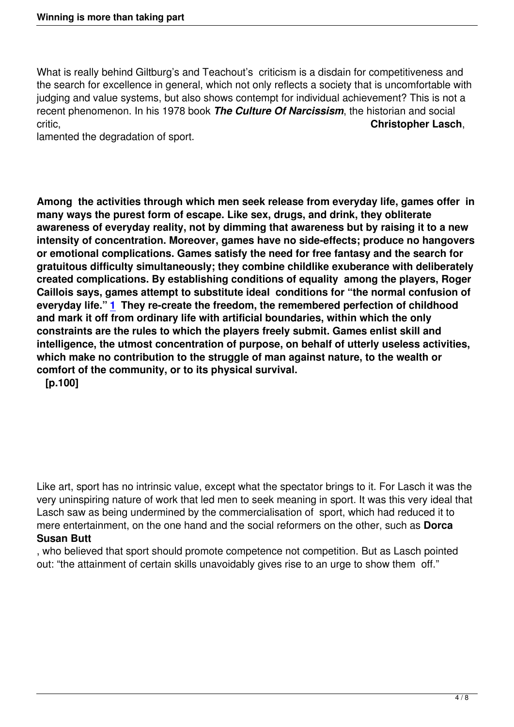What is really behind Giltburg's and Teachout's criticism is a disdain for competitiveness and the search for excellence in general, which not only reflects a society that is uncomfortable with judging and value systems, but also shows contempt for individual achievement? This is not a recent phenomenon. In his 1978 book *The Culture Of Narcissism*, the historian and social critic, **Christopher Lasch**,

lamented the degradation of sport.

**Among the activities through which men seek release from everyday life, games offer in many ways the purest form of escape. Like sex, drugs, and drink, they obliterate awareness of everyday reality, not by dimming that awareness but by raising it to a new intensity of concentration. Moreover, games have no side-effects; produce no hangovers or emotional complications. Games satisfy the need for free fantasy and the search for gratuitous difficulty simultaneously; they combine childlike exuberance with deliberately created complications. By establishing conditions of equality among the players, Roger Caillois says, games attempt to substitute ideal conditions for "the normal confusion of everyday life." 1 They re-create the freedom, the remembered perfection of childhood and mark it off from ordinary life with artificial boundaries, within which the only constraints are the rules to which the players freely submit. Games enlist skill and intelligence, th[e](http://www.nybooks.com/articles/archives/1977/apr/28/the-corruption-of-sports/?pagination=false#fn1-461840010) utmost concentration of purpose, on behalf of utterly useless activities, which make no contribution to the struggle of man against nature, to the wealth or comfort of the community, or to its physical survival.**

 **[p.100]** 

Like art, sport has no intrinsic value, except what the spectator brings to it. For Lasch it was the very uninspiring nature of work that led men to seek meaning in sport. It was this very ideal that Lasch saw as being undermined by the commercialisation of sport, which had reduced it to mere entertainment, on the one hand and the social reformers on the other, such as **Dorca Susan Butt**

, who believed that sport should promote competence not competition. But as Lasch pointed out: "the attainment of certain skills unavoidably gives rise to an urge to show them off."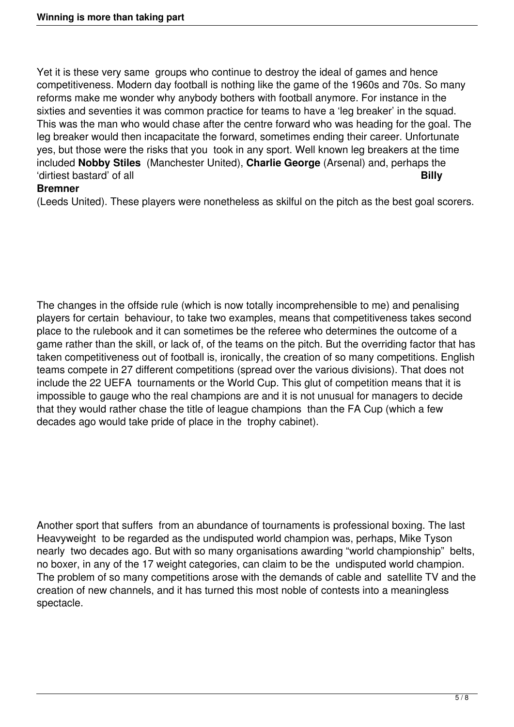Yet it is these very same groups who continue to destroy the ideal of games and hence competitiveness. Modern day football is nothing like the game of the 1960s and 70s. So many reforms make me wonder why anybody bothers with football anymore. For instance in the sixties and seventies it was common practice for teams to have a 'leg breaker' in the squad. This was the man who would chase after the centre forward who was heading for the goal. The leg breaker would then incapacitate the forward, sometimes ending their career. Unfortunate yes, but those were the risks that you took in any sport. Well known leg breakers at the time included **Nobby Stiles** (Manchester United), **Charlie George** (Arsenal) and, perhaps the 'dirtiest bastard' of all **Billy**

#### **Bremner**

(Leeds United). These players were nonetheless as skilful on the pitch as the best goal scorers.

The changes in the offside rule (which is now totally incomprehensible to me) and penalising players for certain behaviour, to take two examples, means that competitiveness takes second place to the rulebook and it can sometimes be the referee who determines the outcome of a game rather than the skill, or lack of, of the teams on the pitch. But the overriding factor that has taken competitiveness out of football is, ironically, the creation of so many competitions. English teams compete in 27 different competitions (spread over the various divisions). That does not include the 22 UEFA tournaments or the World Cup. This glut of competition means that it is impossible to gauge who the real champions are and it is not unusual for managers to decide that they would rather chase the title of league champions than the FA Cup (which a few decades ago would take pride of place in the trophy cabinet).

Another sport that suffers from an abundance of tournaments is professional boxing. The last Heavyweight to be regarded as the undisputed world champion was, perhaps, Mike Tyson nearly two decades ago. But with so many organisations awarding "world championship" belts, no boxer, in any of the 17 weight categories, can claim to be the undisputed world champion. The problem of so many competitions arose with the demands of cable and satellite TV and the creation of new channels, and it has turned this most noble of contests into a meaningless spectacle.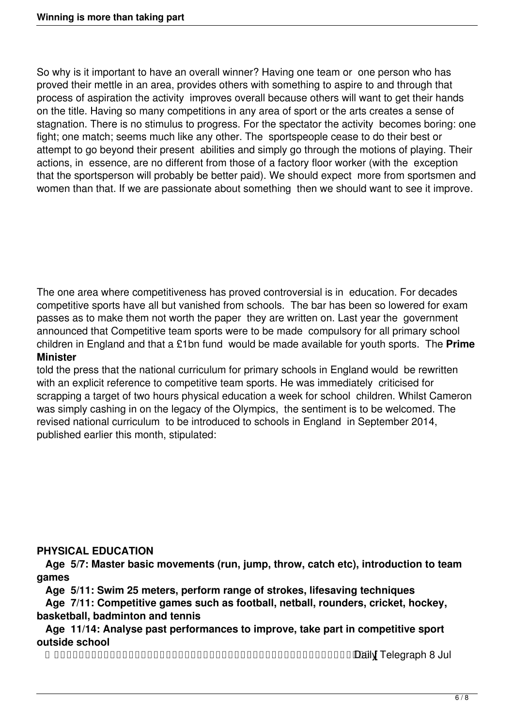So why is it important to have an overall winner? Having one team or one person who has proved their mettle in an area, provides others with something to aspire to and through that process of aspiration the activity improves overall because others will want to get their hands on the title. Having so many competitions in any area of sport or the arts creates a sense of stagnation. There is no stimulus to progress. For the spectator the activity becomes boring: one fight; one match; seems much like any other. The sportspeople cease to do their best or attempt to go beyond their present abilities and simply go through the motions of playing. Their actions, in essence, are no different from those of a factory floor worker (with the exception that the sportsperson will probably be better paid). We should expect more from sportsmen and women than that. If we are passionate about something then we should want to see it improve.

The one area where competitiveness has proved controversial is in education. For decades competitive sports have all but vanished from schools. The bar has been so lowered for exam passes as to make them not worth the paper they are written on. Last year the government announced that Competitive team sports were to be made compulsory for all primary school children in England and that a £1bn fund would be made available for youth sports. The **Prime Minister**

told the press that the national curriculum for primary schools in England would be rewritten with an explicit reference to competitive team sports. He was immediately criticised for scrapping a target of two hours physical education a week for school children. Whilst Cameron was simply cashing in on the legacy of the Olympics, the sentiment is to be welcomed. The revised national curriculum to be introduced to schools in England in September 2014, published earlier this month, stipulated:

#### **PHYSICAL EDUCATION**

 **Age 5/7: Master basic movements (run, jump, throw, catch etc), introduction to team games**

**Age 5/11: Swim 25 meters, perform range of strokes, lifesaving techniques**

 **Age 7/11: Competitive games such as football, netball, rounders, cricket, hockey, basketball, badminton and tennis**

 **Age 11/14: Analyse past performances to improve, take part in competitive sport outside school**

 **[** Daily Telegraph 8 Jul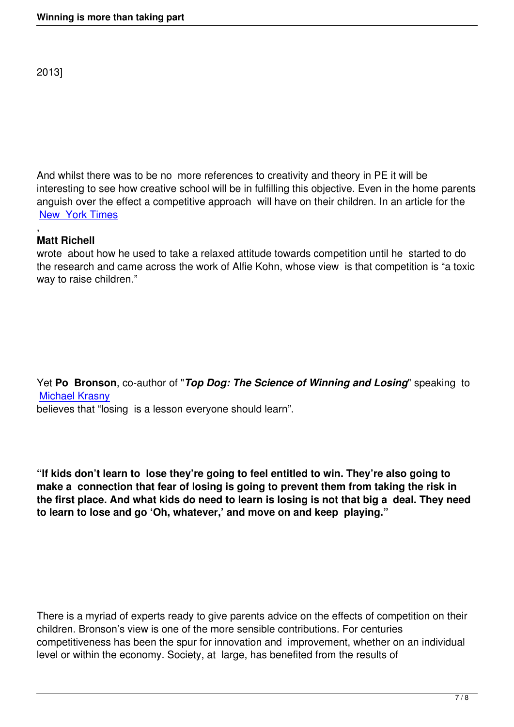And whilst there was to be no more references to creativity and theory in PE it will be interesting to see how creative school will be in fulfilling this objective. Even in the home parents anguish over the effect a competitive approach will have on their children. In an article for the New York Times

#### , **Matt Richell**

[wrote about how](http://www.nytimes.com/2012/10/11/garden/the-role-of-competitiveness-in-raising-healthy-children.html?pagewanted=all&_r=0) he used to take a relaxed attitude towards competition until he started to do the research and came across the work of Alfie Kohn, whose view is that competition is "a toxic way to raise children."

### Yet **Po Bronson**, co-author of "*Top Dog: The Science of Winning and Losing*" speaking to Michael Krasny

believes that "losing is a lesson everyone should learn".

**"If kids don't learn to lose they're going to feel entitled to win. They're also going to make a connection that fear of losing is going to prevent them from taking the risk in the first place. And what kids do need to learn is losing is not that big a deal. They need to learn to lose and go 'Oh, whatever,' and move on and keep playing."**

There is a myriad of experts ready to give parents advice on the effects of competition on their children. Bronson's view is one of the more sensible contributions. For centuries competitiveness has been the spur for innovation and improvement, whether on an individual level or within the economy. Society, at large, has benefited from the results of